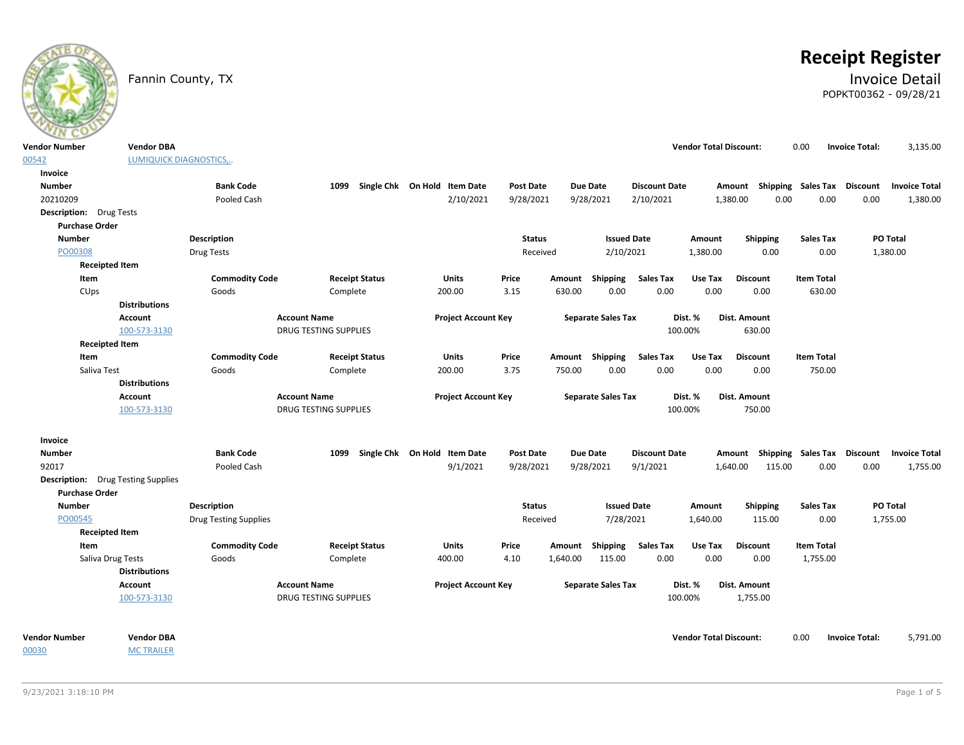

# **Receipt Register**

### Fannin County, TX **Invoice Detail** POPKT00362 - 09/28/21

| <b>Vendor Number</b>                      | <b>Vendor DBA</b>       |                              |                              |                              |                  |                           |                      | <b>Vendor Total Discount:</b> |                                    | 0.00                      | <b>Invoice Total:</b> | 3,135.00             |
|-------------------------------------------|-------------------------|------------------------------|------------------------------|------------------------------|------------------|---------------------------|----------------------|-------------------------------|------------------------------------|---------------------------|-----------------------|----------------------|
| 00542                                     | LUMIQUICK DIAGNOSTICS,. |                              |                              |                              |                  |                           |                      |                               |                                    |                           |                       |                      |
| Invoice                                   |                         |                              |                              |                              |                  |                           |                      |                               |                                    |                           |                       |                      |
| <b>Number</b>                             |                         | <b>Bank Code</b>             | 1099                         | Single Chk On Hold Item Date | Post Date        | <b>Due Date</b>           | <b>Discount Date</b> |                               | Amount Shipping Sales Tax Discount |                           |                       | <b>Invoice Total</b> |
| 20210209                                  |                         | Pooled Cash                  |                              | 2/10/2021                    | 9/28/2021        | 9/28/2021                 | 2/10/2021            |                               | 1,380.00<br>0.00                   | 0.00                      | 0.00                  | 1,380.00             |
| <b>Description:</b> Drug Tests            |                         |                              |                              |                              |                  |                           |                      |                               |                                    |                           |                       |                      |
| <b>Purchase Order</b>                     |                         |                              |                              |                              |                  |                           |                      |                               |                                    |                           |                       |                      |
| <b>Number</b>                             |                         | <b>Description</b>           |                              |                              | <b>Status</b>    |                           | <b>Issued Date</b>   | Amount                        | Shipping                           | <b>Sales Tax</b>          |                       | PO Total             |
| PO00308                                   |                         | Drug Tests                   |                              |                              | Received         |                           | 2/10/2021            | 1,380.00                      | 0.00                               | 0.00                      |                       | 1,380.00             |
| <b>Receipted Item</b>                     |                         |                              |                              |                              |                  |                           |                      |                               |                                    |                           |                       |                      |
| Item                                      |                         | <b>Commodity Code</b>        | <b>Receipt Status</b>        | Units                        | Price            | Shipping<br>Amount        | <b>Sales Tax</b>     | Use Tax                       | <b>Discount</b>                    | <b>Item Total</b>         |                       |                      |
| CUps                                      |                         | Goods                        | Complete                     | 200.00                       | 3.15             | 630.00                    | 0.00<br>0.00         | 0.00                          | 0.00                               | 630.00                    |                       |                      |
|                                           | <b>Distributions</b>    |                              |                              |                              |                  |                           |                      |                               |                                    |                           |                       |                      |
|                                           | <b>Account</b>          |                              | <b>Account Name</b>          | <b>Project Account Key</b>   |                  | <b>Separate Sales Tax</b> |                      | Dist. %                       | Dist. Amount                       |                           |                       |                      |
|                                           | 100-573-3130            |                              | DRUG TESTING SUPPLIES        |                              |                  |                           |                      | 100.00%                       | 630.00                             |                           |                       |                      |
| <b>Receipted Item</b>                     |                         |                              |                              |                              |                  |                           |                      |                               |                                    |                           |                       |                      |
| Item                                      |                         | <b>Commodity Code</b>        | <b>Receipt Status</b>        | Units                        | Price            | Amount Shipping           | <b>Sales Tax</b>     | Use Tax                       | <b>Discount</b>                    | <b>Item Total</b>         |                       |                      |
| Saliva Test                               |                         | Goods                        | Complete                     | 200.00                       | 3.75             | 750.00                    | 0.00<br>0.00         | 0.00                          | 0.00                               | 750.00                    |                       |                      |
|                                           | <b>Distributions</b>    |                              |                              |                              |                  |                           |                      |                               |                                    |                           |                       |                      |
|                                           | <b>Account</b>          |                              | <b>Account Name</b>          | <b>Project Account Key</b>   |                  | <b>Separate Sales Tax</b> |                      | Dist. %                       | Dist. Amount                       |                           |                       |                      |
|                                           | 100-573-3130            |                              | <b>DRUG TESTING SUPPLIES</b> |                              |                  |                           |                      | 100.00%                       | 750.00                             |                           |                       |                      |
| Invoice                                   |                         |                              |                              |                              |                  |                           |                      |                               |                                    |                           |                       |                      |
| <b>Number</b>                             |                         | <b>Bank Code</b>             | 1099                         | Single Chk On Hold Item Date | <b>Post Date</b> | <b>Due Date</b>           | <b>Discount Date</b> |                               | Amount                             | <b>Shipping Sales Tax</b> | Discount              | <b>Invoice Total</b> |
| 92017                                     |                         | Pooled Cash                  |                              | 9/1/2021                     | 9/28/2021        | 9/28/2021                 | 9/1/2021             |                               | 1,640.00<br>115.00                 | 0.00                      | 0.00                  | 1,755.00             |
| <b>Description:</b> Drug Testing Supplies |                         |                              |                              |                              |                  |                           |                      |                               |                                    |                           |                       |                      |
| <b>Purchase Order</b>                     |                         |                              |                              |                              |                  |                           |                      |                               |                                    |                           |                       |                      |
| <b>Number</b>                             |                         | <b>Description</b>           |                              |                              | <b>Status</b>    |                           | <b>Issued Date</b>   | Amount                        | Shipping                           | <b>Sales Tax</b>          |                       | PO Total             |
| PO00545                                   |                         | <b>Drug Testing Supplies</b> |                              |                              | Received         |                           | 7/28/2021            | 1,640.00                      | 115.00                             | 0.00                      |                       | 1,755.00             |
| <b>Receipted Item</b>                     |                         |                              |                              |                              |                  |                           |                      |                               |                                    |                           |                       |                      |
| Item                                      |                         | <b>Commodity Code</b>        | <b>Receipt Status</b>        | Units                        | Price            | Shipping<br>Amount        | <b>Sales Tax</b>     | Use Tax                       | <b>Discount</b>                    | <b>Item Total</b>         |                       |                      |
|                                           | Saliva Drug Tests       | Goods                        | Complete                     | 400.00                       | 4.10             | 115.00<br>1,640.00        | 0.00                 | 0.00                          | 0.00                               | 1,755.00                  |                       |                      |
|                                           | <b>Distributions</b>    |                              |                              |                              |                  |                           |                      |                               |                                    |                           |                       |                      |
|                                           | <b>Account</b>          |                              | <b>Account Name</b>          | <b>Project Account Key</b>   |                  | <b>Separate Sales Tax</b> |                      | Dist. %                       | Dist. Amount                       |                           |                       |                      |
|                                           | 100-573-3130            |                              | <b>DRUG TESTING SUPPLIES</b> |                              |                  |                           |                      | 100.00%                       | 1,755.00                           |                           |                       |                      |
|                                           |                         |                              |                              |                              |                  |                           |                      |                               |                                    |                           |                       |                      |
| <b>Vendor Number</b>                      | <b>Vendor DBA</b>       |                              |                              |                              |                  |                           |                      | <b>Vendor Total Discount:</b> |                                    | 0.00                      | <b>Invoice Total:</b> | 5,791.00             |
| 00030                                     | <b>MC TRAILER</b>       |                              |                              |                              |                  |                           |                      |                               |                                    |                           |                       |                      |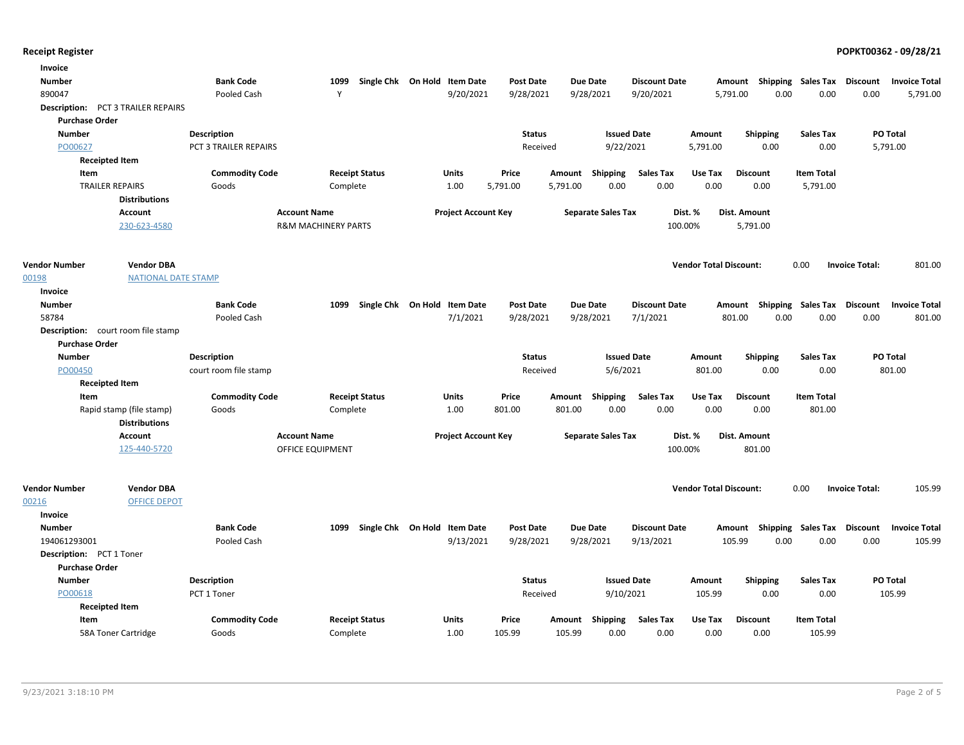| Invoice                       |                                           |                       |                                |                              |                              |                  |          |                           |                      |                               |                                    |                   |                       |                      |
|-------------------------------|-------------------------------------------|-----------------------|--------------------------------|------------------------------|------------------------------|------------------|----------|---------------------------|----------------------|-------------------------------|------------------------------------|-------------------|-----------------------|----------------------|
| <b>Number</b>                 |                                           | <b>Bank Code</b>      | 1099                           |                              | Single Chk On Hold Item Date | <b>Post Date</b> |          | <b>Due Date</b>           | <b>Discount Date</b> |                               | Amount Shipping Sales Tax Discount |                   |                       | <b>Invoice Total</b> |
| 890047                        |                                           | Pooled Cash           | Y                              |                              | 9/20/2021                    | 9/28/2021        |          | 9/28/2021                 | 9/20/2021            |                               | 0.00<br>5,791.00                   | 0.00              | 0.00                  | 5,791.00             |
|                               | <b>Description:</b> PCT 3 TRAILER REPAIRS |                       |                                |                              |                              |                  |          |                           |                      |                               |                                    |                   |                       |                      |
| <b>Purchase Order</b>         |                                           |                       |                                |                              |                              |                  |          |                           |                      |                               |                                    |                   |                       |                      |
| <b>Number</b>                 |                                           | <b>Description</b>    |                                |                              |                              | <b>Status</b>    |          | <b>Issued Date</b>        |                      | Amount                        | Shipping                           | <b>Sales Tax</b>  |                       | PO Total             |
| PO00627                       |                                           | PCT 3 TRAILER REPAIRS |                                |                              |                              | Received         |          | 9/22/2021                 |                      | 5,791.00                      | 0.00                               | 0.00              |                       | 5,791.00             |
|                               | <b>Receipted Item</b>                     |                       |                                |                              |                              |                  |          |                           |                      |                               |                                    |                   |                       |                      |
| Item                          |                                           | <b>Commodity Code</b> |                                | <b>Receipt Status</b>        | Units                        | Price            | Amount   | Shipping                  | <b>Sales Tax</b>     | Use Tax                       | <b>Discount</b>                    | <b>Item Total</b> |                       |                      |
|                               | <b>TRAILER REPAIRS</b>                    | Goods                 | Complete                       |                              | 1.00                         | 5,791.00         | 5,791.00 | 0.00                      | 0.00                 | 0.00                          | 0.00                               | 5,791.00          |                       |                      |
|                               | <b>Distributions</b>                      |                       |                                |                              |                              |                  |          |                           |                      |                               |                                    |                   |                       |                      |
|                               | <b>Account</b>                            |                       | <b>Account Name</b>            |                              | <b>Project Account Key</b>   |                  |          | <b>Separate Sales Tax</b> |                      | Dist. %                       | Dist. Amount                       |                   |                       |                      |
|                               | 230-623-4580                              |                       | <b>R&amp;M MACHINERY PARTS</b> |                              |                              |                  |          |                           | 100.00%              |                               | 5,791.00                           |                   |                       |                      |
| <b>Vendor Number</b>          | <b>Vendor DBA</b>                         |                       |                                |                              |                              |                  |          |                           |                      | <b>Vendor Total Discount:</b> |                                    |                   |                       | 801.00               |
| 00198                         | <b>NATIONAL DATE STAMP</b>                |                       |                                |                              |                              |                  |          |                           |                      |                               |                                    | 0.00              | <b>Invoice Total:</b> |                      |
| Invoice                       |                                           |                       |                                |                              |                              |                  |          |                           |                      |                               |                                    |                   |                       |                      |
| <b>Number</b>                 |                                           | <b>Bank Code</b>      | 1099                           | Single Chk On Hold Item Date |                              | <b>Post Date</b> |          | Due Date                  | <b>Discount Date</b> |                               | Amount Shipping Sales Tax Discount |                   |                       | <b>Invoice Total</b> |
| 58784                         |                                           | Pooled Cash           |                                |                              | 7/1/2021                     | 9/28/2021        |          | 9/28/2021                 | 7/1/2021             |                               | 801.00<br>0.00                     | 0.00              | 0.00                  | 801.00               |
|                               | <b>Description:</b> court room file stamp |                       |                                |                              |                              |                  |          |                           |                      |                               |                                    |                   |                       |                      |
| <b>Purchase Order</b>         |                                           |                       |                                |                              |                              |                  |          |                           |                      |                               |                                    |                   |                       |                      |
| <b>Number</b>                 |                                           | Description           |                                |                              |                              | <b>Status</b>    |          | <b>Issued Date</b>        |                      | Amount                        | <b>Shipping</b>                    | <b>Sales Tax</b>  |                       | PO Total             |
| PO00450                       |                                           | court room file stamp |                                |                              |                              | Received         |          | 5/6/2021                  |                      | 801.00                        | 0.00                               | 0.00              |                       | 801.00               |
|                               | <b>Receipted Item</b>                     |                       |                                |                              |                              |                  |          |                           |                      |                               |                                    |                   |                       |                      |
| Item                          |                                           | <b>Commodity Code</b> |                                | <b>Receipt Status</b>        | Units                        | Price            |          | Amount Shipping           | Sales Tax            | Use Tax                       | <b>Discount</b>                    | <b>Item Total</b> |                       |                      |
|                               | Rapid stamp (file stamp)                  | Goods                 | Complete                       |                              | 1.00                         | 801.00           | 801.00   | 0.00                      | 0.00                 | 0.00                          | 0.00                               | 801.00            |                       |                      |
|                               | <b>Distributions</b>                      |                       |                                |                              |                              |                  |          |                           |                      |                               |                                    |                   |                       |                      |
|                               | <b>Account</b>                            |                       | <b>Account Name</b>            |                              | <b>Project Account Key</b>   |                  |          | <b>Separate Sales Tax</b> |                      | Dist. %                       | Dist. Amount                       |                   |                       |                      |
|                               | 125-440-5720                              |                       | OFFICE EQUIPMENT               |                              |                              |                  |          |                           | 100.00%              |                               | 801.00                             |                   |                       |                      |
|                               |                                           |                       |                                |                              |                              |                  |          |                           |                      |                               |                                    |                   |                       |                      |
| <b>Vendor Number</b><br>00216 | <b>Vendor DBA</b><br><b>OFFICE DEPOT</b>  |                       |                                |                              |                              |                  |          |                           |                      | <b>Vendor Total Discount:</b> |                                    | 0.00              | <b>Invoice Total:</b> | 105.99               |
| Invoice                       |                                           |                       |                                |                              |                              |                  |          |                           |                      |                               |                                    |                   |                       |                      |
| <b>Number</b>                 |                                           | <b>Bank Code</b>      | 1099                           |                              | Single Chk On Hold Item Date | <b>Post Date</b> |          | <b>Due Date</b>           | <b>Discount Date</b> |                               | Amount Shipping Sales Tax Discount |                   |                       | <b>Invoice Total</b> |
| 194061293001                  |                                           | Pooled Cash           |                                |                              | 9/13/2021                    | 9/28/2021        |          | 9/28/2021                 | 9/13/2021            |                               | 105.99<br>0.00                     | 0.00              | 0.00                  | 105.99               |
| Description: PCT 1 Toner      |                                           |                       |                                |                              |                              |                  |          |                           |                      |                               |                                    |                   |                       |                      |
| <b>Purchase Order</b>         |                                           |                       |                                |                              |                              |                  |          |                           |                      |                               |                                    |                   |                       |                      |
| <b>Number</b>                 |                                           | Description           |                                |                              |                              | <b>Status</b>    |          | <b>Issued Date</b>        |                      | Amount                        | <b>Shipping</b>                    | <b>Sales Tax</b>  |                       | PO Total             |
| PO00618                       |                                           | PCT 1 Toner           |                                |                              |                              | Received         |          | 9/10/2021                 |                      | 105.99                        | 0.00                               | 0.00              |                       | 105.99               |
|                               | <b>Receipted Item</b>                     |                       |                                |                              |                              |                  |          |                           |                      |                               |                                    |                   |                       |                      |
| Item                          |                                           | <b>Commodity Code</b> |                                | <b>Receipt Status</b>        | Units                        | Price            | Amount   | Shipping                  | <b>Sales Tax</b>     | Use Tax                       | <b>Discount</b>                    | <b>Item Total</b> |                       |                      |
|                               | 58A Toner Cartridge                       | Goods                 | Complete                       |                              | 1.00                         | 105.99           | 105.99   | 0.00                      | 0.00                 | 0.00                          | 0.00                               | 105.99            |                       |                      |
|                               |                                           |                       |                                |                              |                              |                  |          |                           |                      |                               |                                    |                   |                       |                      |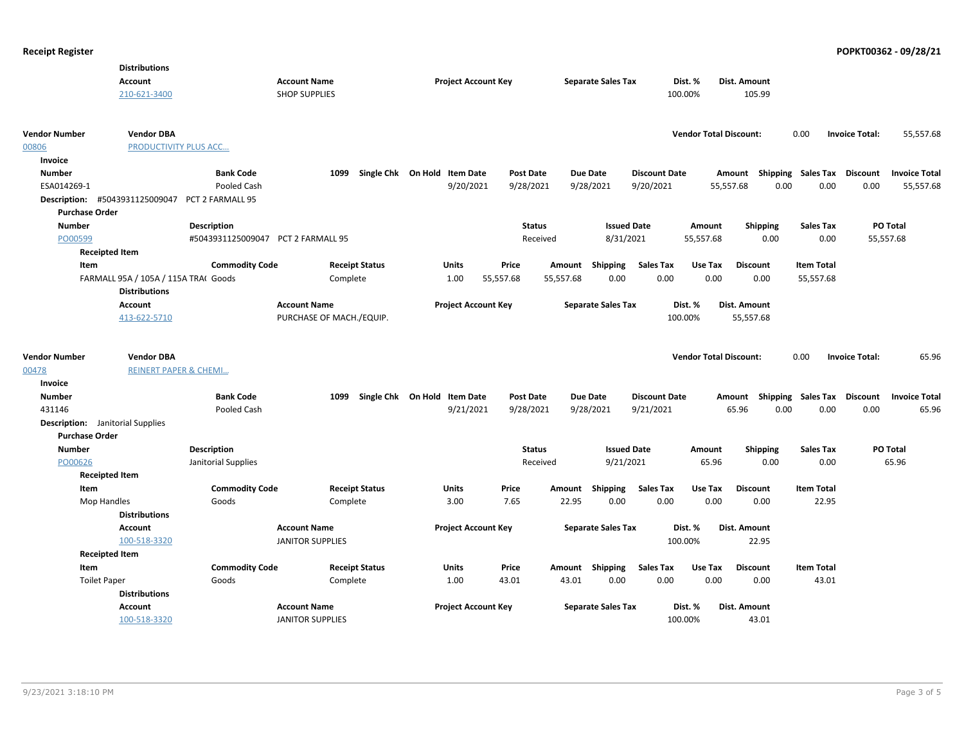| <b>Account</b><br><b>Account Name</b><br><b>Project Account Key</b><br><b>Separate Sales Tax</b><br>Dist. %<br>Dist. Amount<br>210-621-3400<br><b>SHOP SUPPLIES</b><br>100.00%<br>105.99<br><b>Vendor Number</b><br><b>Vendor DBA</b><br><b>Vendor Total Discount:</b><br>0.00<br><b>Invoice Total:</b><br>55,557.68<br>00806<br>PRODUCTIVITY PLUS ACC<br>Invoice<br><b>Number</b><br><b>Bank Code</b><br>1099<br>Single Chk On Hold Item Date<br><b>Post Date</b><br><b>Due Date</b><br><b>Discount Date</b><br><b>Shipping Sales Tax</b><br>Discount<br><b>Invoice Total</b><br>Amount<br>ESA014269-1<br>9/20/2021<br>9/20/2021<br>0.00<br>0.00<br>Pooled Cash<br>9/28/2021<br>9/28/2021<br>55,557.68<br>0.00<br>55,557.68<br>#5043931125009047 PCT 2 FARMALL 95<br>Description:<br><b>Purchase Order</b><br>PO Total<br><b>Number</b><br><b>Description</b><br><b>Status</b><br><b>Issued Date</b><br><b>Shipping</b><br><b>Sales Tax</b><br>Amount<br>PO00599<br>#5043931125009047 PCT 2 FARMALL 95<br>8/31/2021<br>55,557.68<br>0.00<br>0.00<br>55,557.68<br>Received<br><b>Receipted Item</b><br><b>Commodity Code</b><br><b>Receipt Status</b><br>Units<br>Price<br>Amount Shipping<br><b>Sales Tax</b><br>Use Tax<br><b>Discount</b><br><b>Item Total</b><br>Item<br>0.00<br>0.00<br>0.00<br>FARMALL 95A / 105A / 115A TRA( Goods<br>Complete<br>1.00<br>55,557.68<br>55,557.68<br>0.00<br>55,557.68<br><b>Distributions</b><br><b>Account</b><br><b>Account Name</b><br><b>Project Account Key</b><br><b>Separate Sales Tax</b><br>Dist. %<br>Dist. Amount<br>100.00%<br>413-622-5710<br>PURCHASE OF MACH./EQUIP.<br>55,557.68<br><b>Vendor Number</b><br><b>Vendor DBA</b><br><b>Vendor Total Discount:</b><br>0.00<br><b>Invoice Total:</b><br>65.96<br>00478<br><b>REINERT PAPER &amp; CHEMI</b><br>Invoice<br><b>Bank Code</b><br>Single Chk On Hold Item Date<br><b>Due Date</b><br>Shipping Sales Tax<br><b>Number</b><br>1099<br><b>Post Date</b><br><b>Discount Date</b><br>Discount<br><b>Invoice Total</b><br>Amount<br>9/21/2021<br>9/28/2021<br>9/28/2021<br>9/21/2021<br>65.96<br>0.00<br>0.00<br>65.96<br>431146<br>Pooled Cash<br>0.00<br><b>Description:</b> Janitorial Supplies<br><b>Purchase Order</b><br><b>Number</b><br><b>Description</b><br><b>Status</b><br><b>Issued Date</b><br><b>Sales Tax</b><br>PO Total<br>Amount<br><b>Shipping</b> |
|-------------------------------------------------------------------------------------------------------------------------------------------------------------------------------------------------------------------------------------------------------------------------------------------------------------------------------------------------------------------------------------------------------------------------------------------------------------------------------------------------------------------------------------------------------------------------------------------------------------------------------------------------------------------------------------------------------------------------------------------------------------------------------------------------------------------------------------------------------------------------------------------------------------------------------------------------------------------------------------------------------------------------------------------------------------------------------------------------------------------------------------------------------------------------------------------------------------------------------------------------------------------------------------------------------------------------------------------------------------------------------------------------------------------------------------------------------------------------------------------------------------------------------------------------------------------------------------------------------------------------------------------------------------------------------------------------------------------------------------------------------------------------------------------------------------------------------------------------------------------------------------------------------------------------------------------------------------------------------------------------------------------------------------------------------------------------------------------------------------------------------------------------------------------------------------------------------------------------------------------------------------------------------------------------------------------------------------------------------------------------------|
|                                                                                                                                                                                                                                                                                                                                                                                                                                                                                                                                                                                                                                                                                                                                                                                                                                                                                                                                                                                                                                                                                                                                                                                                                                                                                                                                                                                                                                                                                                                                                                                                                                                                                                                                                                                                                                                                                                                                                                                                                                                                                                                                                                                                                                                                                                                                                                               |
|                                                                                                                                                                                                                                                                                                                                                                                                                                                                                                                                                                                                                                                                                                                                                                                                                                                                                                                                                                                                                                                                                                                                                                                                                                                                                                                                                                                                                                                                                                                                                                                                                                                                                                                                                                                                                                                                                                                                                                                                                                                                                                                                                                                                                                                                                                                                                                               |
|                                                                                                                                                                                                                                                                                                                                                                                                                                                                                                                                                                                                                                                                                                                                                                                                                                                                                                                                                                                                                                                                                                                                                                                                                                                                                                                                                                                                                                                                                                                                                                                                                                                                                                                                                                                                                                                                                                                                                                                                                                                                                                                                                                                                                                                                                                                                                                               |
|                                                                                                                                                                                                                                                                                                                                                                                                                                                                                                                                                                                                                                                                                                                                                                                                                                                                                                                                                                                                                                                                                                                                                                                                                                                                                                                                                                                                                                                                                                                                                                                                                                                                                                                                                                                                                                                                                                                                                                                                                                                                                                                                                                                                                                                                                                                                                                               |
|                                                                                                                                                                                                                                                                                                                                                                                                                                                                                                                                                                                                                                                                                                                                                                                                                                                                                                                                                                                                                                                                                                                                                                                                                                                                                                                                                                                                                                                                                                                                                                                                                                                                                                                                                                                                                                                                                                                                                                                                                                                                                                                                                                                                                                                                                                                                                                               |
|                                                                                                                                                                                                                                                                                                                                                                                                                                                                                                                                                                                                                                                                                                                                                                                                                                                                                                                                                                                                                                                                                                                                                                                                                                                                                                                                                                                                                                                                                                                                                                                                                                                                                                                                                                                                                                                                                                                                                                                                                                                                                                                                                                                                                                                                                                                                                                               |
|                                                                                                                                                                                                                                                                                                                                                                                                                                                                                                                                                                                                                                                                                                                                                                                                                                                                                                                                                                                                                                                                                                                                                                                                                                                                                                                                                                                                                                                                                                                                                                                                                                                                                                                                                                                                                                                                                                                                                                                                                                                                                                                                                                                                                                                                                                                                                                               |
|                                                                                                                                                                                                                                                                                                                                                                                                                                                                                                                                                                                                                                                                                                                                                                                                                                                                                                                                                                                                                                                                                                                                                                                                                                                                                                                                                                                                                                                                                                                                                                                                                                                                                                                                                                                                                                                                                                                                                                                                                                                                                                                                                                                                                                                                                                                                                                               |
|                                                                                                                                                                                                                                                                                                                                                                                                                                                                                                                                                                                                                                                                                                                                                                                                                                                                                                                                                                                                                                                                                                                                                                                                                                                                                                                                                                                                                                                                                                                                                                                                                                                                                                                                                                                                                                                                                                                                                                                                                                                                                                                                                                                                                                                                                                                                                                               |
|                                                                                                                                                                                                                                                                                                                                                                                                                                                                                                                                                                                                                                                                                                                                                                                                                                                                                                                                                                                                                                                                                                                                                                                                                                                                                                                                                                                                                                                                                                                                                                                                                                                                                                                                                                                                                                                                                                                                                                                                                                                                                                                                                                                                                                                                                                                                                                               |
|                                                                                                                                                                                                                                                                                                                                                                                                                                                                                                                                                                                                                                                                                                                                                                                                                                                                                                                                                                                                                                                                                                                                                                                                                                                                                                                                                                                                                                                                                                                                                                                                                                                                                                                                                                                                                                                                                                                                                                                                                                                                                                                                                                                                                                                                                                                                                                               |
|                                                                                                                                                                                                                                                                                                                                                                                                                                                                                                                                                                                                                                                                                                                                                                                                                                                                                                                                                                                                                                                                                                                                                                                                                                                                                                                                                                                                                                                                                                                                                                                                                                                                                                                                                                                                                                                                                                                                                                                                                                                                                                                                                                                                                                                                                                                                                                               |
|                                                                                                                                                                                                                                                                                                                                                                                                                                                                                                                                                                                                                                                                                                                                                                                                                                                                                                                                                                                                                                                                                                                                                                                                                                                                                                                                                                                                                                                                                                                                                                                                                                                                                                                                                                                                                                                                                                                                                                                                                                                                                                                                                                                                                                                                                                                                                                               |
|                                                                                                                                                                                                                                                                                                                                                                                                                                                                                                                                                                                                                                                                                                                                                                                                                                                                                                                                                                                                                                                                                                                                                                                                                                                                                                                                                                                                                                                                                                                                                                                                                                                                                                                                                                                                                                                                                                                                                                                                                                                                                                                                                                                                                                                                                                                                                                               |
|                                                                                                                                                                                                                                                                                                                                                                                                                                                                                                                                                                                                                                                                                                                                                                                                                                                                                                                                                                                                                                                                                                                                                                                                                                                                                                                                                                                                                                                                                                                                                                                                                                                                                                                                                                                                                                                                                                                                                                                                                                                                                                                                                                                                                                                                                                                                                                               |
|                                                                                                                                                                                                                                                                                                                                                                                                                                                                                                                                                                                                                                                                                                                                                                                                                                                                                                                                                                                                                                                                                                                                                                                                                                                                                                                                                                                                                                                                                                                                                                                                                                                                                                                                                                                                                                                                                                                                                                                                                                                                                                                                                                                                                                                                                                                                                                               |
|                                                                                                                                                                                                                                                                                                                                                                                                                                                                                                                                                                                                                                                                                                                                                                                                                                                                                                                                                                                                                                                                                                                                                                                                                                                                                                                                                                                                                                                                                                                                                                                                                                                                                                                                                                                                                                                                                                                                                                                                                                                                                                                                                                                                                                                                                                                                                                               |
|                                                                                                                                                                                                                                                                                                                                                                                                                                                                                                                                                                                                                                                                                                                                                                                                                                                                                                                                                                                                                                                                                                                                                                                                                                                                                                                                                                                                                                                                                                                                                                                                                                                                                                                                                                                                                                                                                                                                                                                                                                                                                                                                                                                                                                                                                                                                                                               |
|                                                                                                                                                                                                                                                                                                                                                                                                                                                                                                                                                                                                                                                                                                                                                                                                                                                                                                                                                                                                                                                                                                                                                                                                                                                                                                                                                                                                                                                                                                                                                                                                                                                                                                                                                                                                                                                                                                                                                                                                                                                                                                                                                                                                                                                                                                                                                                               |
|                                                                                                                                                                                                                                                                                                                                                                                                                                                                                                                                                                                                                                                                                                                                                                                                                                                                                                                                                                                                                                                                                                                                                                                                                                                                                                                                                                                                                                                                                                                                                                                                                                                                                                                                                                                                                                                                                                                                                                                                                                                                                                                                                                                                                                                                                                                                                                               |
|                                                                                                                                                                                                                                                                                                                                                                                                                                                                                                                                                                                                                                                                                                                                                                                                                                                                                                                                                                                                                                                                                                                                                                                                                                                                                                                                                                                                                                                                                                                                                                                                                                                                                                                                                                                                                                                                                                                                                                                                                                                                                                                                                                                                                                                                                                                                                                               |
|                                                                                                                                                                                                                                                                                                                                                                                                                                                                                                                                                                                                                                                                                                                                                                                                                                                                                                                                                                                                                                                                                                                                                                                                                                                                                                                                                                                                                                                                                                                                                                                                                                                                                                                                                                                                                                                                                                                                                                                                                                                                                                                                                                                                                                                                                                                                                                               |
|                                                                                                                                                                                                                                                                                                                                                                                                                                                                                                                                                                                                                                                                                                                                                                                                                                                                                                                                                                                                                                                                                                                                                                                                                                                                                                                                                                                                                                                                                                                                                                                                                                                                                                                                                                                                                                                                                                                                                                                                                                                                                                                                                                                                                                                                                                                                                                               |
|                                                                                                                                                                                                                                                                                                                                                                                                                                                                                                                                                                                                                                                                                                                                                                                                                                                                                                                                                                                                                                                                                                                                                                                                                                                                                                                                                                                                                                                                                                                                                                                                                                                                                                                                                                                                                                                                                                                                                                                                                                                                                                                                                                                                                                                                                                                                                                               |
|                                                                                                                                                                                                                                                                                                                                                                                                                                                                                                                                                                                                                                                                                                                                                                                                                                                                                                                                                                                                                                                                                                                                                                                                                                                                                                                                                                                                                                                                                                                                                                                                                                                                                                                                                                                                                                                                                                                                                                                                                                                                                                                                                                                                                                                                                                                                                                               |
|                                                                                                                                                                                                                                                                                                                                                                                                                                                                                                                                                                                                                                                                                                                                                                                                                                                                                                                                                                                                                                                                                                                                                                                                                                                                                                                                                                                                                                                                                                                                                                                                                                                                                                                                                                                                                                                                                                                                                                                                                                                                                                                                                                                                                                                                                                                                                                               |
|                                                                                                                                                                                                                                                                                                                                                                                                                                                                                                                                                                                                                                                                                                                                                                                                                                                                                                                                                                                                                                                                                                                                                                                                                                                                                                                                                                                                                                                                                                                                                                                                                                                                                                                                                                                                                                                                                                                                                                                                                                                                                                                                                                                                                                                                                                                                                                               |
| Janitorial Supplies<br>Received<br>9/21/2021<br>65.96<br>0.00<br>0.00<br>65.96<br>PO00626                                                                                                                                                                                                                                                                                                                                                                                                                                                                                                                                                                                                                                                                                                                                                                                                                                                                                                                                                                                                                                                                                                                                                                                                                                                                                                                                                                                                                                                                                                                                                                                                                                                                                                                                                                                                                                                                                                                                                                                                                                                                                                                                                                                                                                                                                     |
| <b>Receipted Item</b>                                                                                                                                                                                                                                                                                                                                                                                                                                                                                                                                                                                                                                                                                                                                                                                                                                                                                                                                                                                                                                                                                                                                                                                                                                                                                                                                                                                                                                                                                                                                                                                                                                                                                                                                                                                                                                                                                                                                                                                                                                                                                                                                                                                                                                                                                                                                                         |
| Item<br><b>Commodity Code</b><br><b>Receipt Status</b><br>Units<br>Price<br>Shipping<br><b>Sales Tax</b><br>Use Tax<br><b>Item Total</b><br>Amount<br><b>Discount</b>                                                                                                                                                                                                                                                                                                                                                                                                                                                                                                                                                                                                                                                                                                                                                                                                                                                                                                                                                                                                                                                                                                                                                                                                                                                                                                                                                                                                                                                                                                                                                                                                                                                                                                                                                                                                                                                                                                                                                                                                                                                                                                                                                                                                         |
| 22.95<br>0.00<br>0.00<br>0.00<br>Goods<br>Complete<br>3.00<br>7.65<br>0.00<br>22.95<br>Mop Handles                                                                                                                                                                                                                                                                                                                                                                                                                                                                                                                                                                                                                                                                                                                                                                                                                                                                                                                                                                                                                                                                                                                                                                                                                                                                                                                                                                                                                                                                                                                                                                                                                                                                                                                                                                                                                                                                                                                                                                                                                                                                                                                                                                                                                                                                            |
| <b>Distributions</b>                                                                                                                                                                                                                                                                                                                                                                                                                                                                                                                                                                                                                                                                                                                                                                                                                                                                                                                                                                                                                                                                                                                                                                                                                                                                                                                                                                                                                                                                                                                                                                                                                                                                                                                                                                                                                                                                                                                                                                                                                                                                                                                                                                                                                                                                                                                                                          |
| Account<br><b>Account Name</b><br><b>Project Account Key</b><br><b>Separate Sales Tax</b><br>Dist. %<br>Dist. Amount                                                                                                                                                                                                                                                                                                                                                                                                                                                                                                                                                                                                                                                                                                                                                                                                                                                                                                                                                                                                                                                                                                                                                                                                                                                                                                                                                                                                                                                                                                                                                                                                                                                                                                                                                                                                                                                                                                                                                                                                                                                                                                                                                                                                                                                          |
| 100-518-3320<br>100.00%<br>22.95<br><b>JANITOR SUPPLIES</b>                                                                                                                                                                                                                                                                                                                                                                                                                                                                                                                                                                                                                                                                                                                                                                                                                                                                                                                                                                                                                                                                                                                                                                                                                                                                                                                                                                                                                                                                                                                                                                                                                                                                                                                                                                                                                                                                                                                                                                                                                                                                                                                                                                                                                                                                                                                   |
| <b>Receipted Item</b>                                                                                                                                                                                                                                                                                                                                                                                                                                                                                                                                                                                                                                                                                                                                                                                                                                                                                                                                                                                                                                                                                                                                                                                                                                                                                                                                                                                                                                                                                                                                                                                                                                                                                                                                                                                                                                                                                                                                                                                                                                                                                                                                                                                                                                                                                                                                                         |
| <b>Commodity Code</b><br><b>Receipt Status</b><br>Units<br>Price<br>Amount Shipping<br><b>Sales Tax</b><br>Use Tax<br><b>Discount</b><br><b>Item Total</b><br>Item                                                                                                                                                                                                                                                                                                                                                                                                                                                                                                                                                                                                                                                                                                                                                                                                                                                                                                                                                                                                                                                                                                                                                                                                                                                                                                                                                                                                                                                                                                                                                                                                                                                                                                                                                                                                                                                                                                                                                                                                                                                                                                                                                                                                            |
| 43.01<br>0.00<br>0.00<br>0.00<br><b>Toilet Paper</b><br>Goods<br>Complete<br>1.00<br>43.01<br>0.00<br>43.01                                                                                                                                                                                                                                                                                                                                                                                                                                                                                                                                                                                                                                                                                                                                                                                                                                                                                                                                                                                                                                                                                                                                                                                                                                                                                                                                                                                                                                                                                                                                                                                                                                                                                                                                                                                                                                                                                                                                                                                                                                                                                                                                                                                                                                                                   |
| <b>Distributions</b>                                                                                                                                                                                                                                                                                                                                                                                                                                                                                                                                                                                                                                                                                                                                                                                                                                                                                                                                                                                                                                                                                                                                                                                                                                                                                                                                                                                                                                                                                                                                                                                                                                                                                                                                                                                                                                                                                                                                                                                                                                                                                                                                                                                                                                                                                                                                                          |
|                                                                                                                                                                                                                                                                                                                                                                                                                                                                                                                                                                                                                                                                                                                                                                                                                                                                                                                                                                                                                                                                                                                                                                                                                                                                                                                                                                                                                                                                                                                                                                                                                                                                                                                                                                                                                                                                                                                                                                                                                                                                                                                                                                                                                                                                                                                                                                               |
| <b>Project Account Key</b><br>Dist. Amount<br><b>Account</b><br><b>Account Name</b><br><b>Separate Sales Tax</b><br>Dist. %                                                                                                                                                                                                                                                                                                                                                                                                                                                                                                                                                                                                                                                                                                                                                                                                                                                                                                                                                                                                                                                                                                                                                                                                                                                                                                                                                                                                                                                                                                                                                                                                                                                                                                                                                                                                                                                                                                                                                                                                                                                                                                                                                                                                                                                   |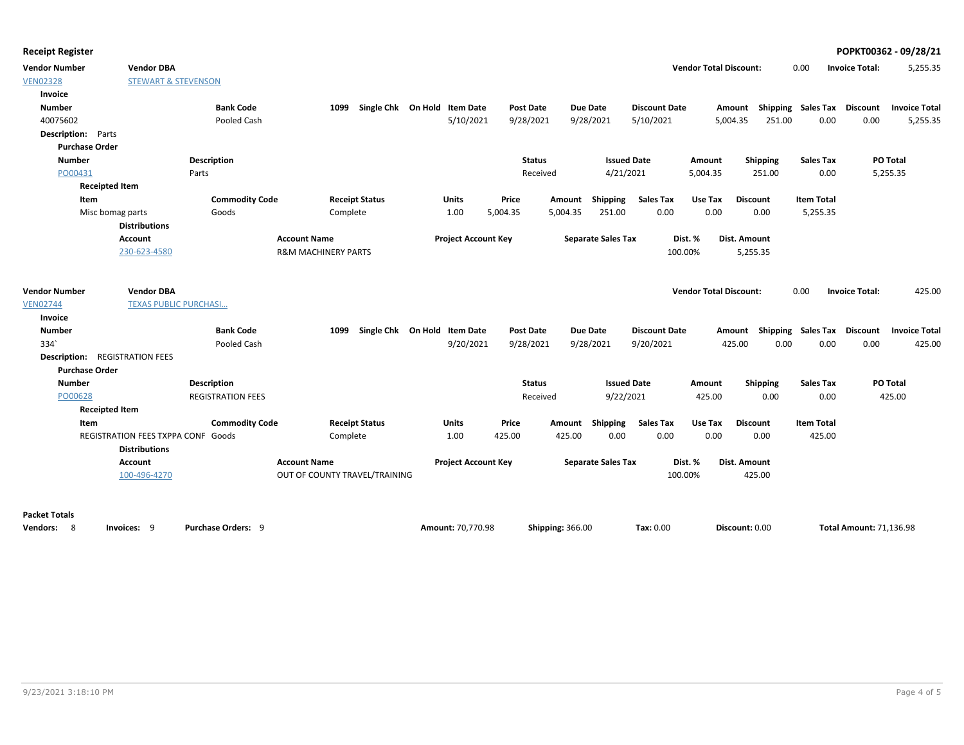**Receipt Register POPKT00362 - 09/28/21**

| <b>Vendor Number</b>                  | <b>Vendor DBA</b>                  |                          |                                |                                   |                            |                  |          |                           |                      | <b>Vendor Total Discount:</b> |                                    | 0.00              | <b>Invoice Total:</b> | 5,255.35             |
|---------------------------------------|------------------------------------|--------------------------|--------------------------------|-----------------------------------|----------------------------|------------------|----------|---------------------------|----------------------|-------------------------------|------------------------------------|-------------------|-----------------------|----------------------|
| <b>VEN02328</b>                       | <b>STEWART &amp; STEVENSON</b>     |                          |                                |                                   |                            |                  |          |                           |                      |                               |                                    |                   |                       |                      |
| Invoice                               |                                    |                          |                                |                                   |                            |                  |          |                           |                      |                               |                                    |                   |                       |                      |
| <b>Number</b>                         |                                    | <b>Bank Code</b>         |                                | 1099 Single Chk On Hold Item Date |                            | <b>Post Date</b> |          | <b>Due Date</b>           | <b>Discount Date</b> |                               | Amount Shipping Sales Tax Discount |                   |                       | <b>Invoice Total</b> |
| 40075602                              |                                    | Pooled Cash              |                                |                                   | 5/10/2021                  | 9/28/2021        |          | 9/28/2021                 | 5/10/2021            |                               | 251.00<br>5,004.35                 | 0.00              | 0.00                  | 5,255.35             |
| <b>Description:</b> Parts             |                                    |                          |                                |                                   |                            |                  |          |                           |                      |                               |                                    |                   |                       |                      |
| <b>Purchase Order</b>                 |                                    |                          |                                |                                   |                            |                  |          |                           |                      |                               |                                    |                   |                       |                      |
| <b>Number</b>                         |                                    | <b>Description</b>       |                                |                                   |                            | <b>Status</b>    |          | <b>Issued Date</b>        |                      | Amount                        | Shipping                           | <b>Sales Tax</b>  |                       | PO Total             |
| PO00431                               |                                    | Parts                    |                                |                                   |                            | Received         |          | 4/21/2021                 |                      | 5,004.35                      | 251.00                             | 0.00              |                       | 5,255.35             |
| <b>Receipted Item</b>                 |                                    |                          |                                |                                   |                            |                  |          |                           |                      |                               |                                    |                   |                       |                      |
| Item                                  |                                    | <b>Commodity Code</b>    |                                | <b>Receipt Status</b>             | <b>Units</b>               | Price            | Amount   | Shipping                  | <b>Sales Tax</b>     | Use Tax                       | <b>Discount</b>                    | <b>Item Total</b> |                       |                      |
|                                       | Misc bomag parts                   | Goods                    | Complete                       |                                   | 1.00                       | 5,004.35         | 5,004.35 | 251.00                    | 0.00                 | 0.00                          | 0.00                               | 5,255.35          |                       |                      |
|                                       | <b>Distributions</b>               |                          |                                |                                   |                            |                  |          |                           |                      |                               |                                    |                   |                       |                      |
|                                       | Account                            |                          | <b>Account Name</b>            |                                   | <b>Project Account Key</b> |                  |          | <b>Separate Sales Tax</b> |                      | Dist. %                       | Dist. Amount                       |                   |                       |                      |
|                                       | 230-623-4580                       |                          | <b>R&amp;M MACHINERY PARTS</b> |                                   |                            |                  |          |                           | 100.00%              |                               | 5,255.35                           |                   |                       |                      |
| <b>Vendor Number</b>                  | <b>Vendor DBA</b>                  |                          |                                |                                   |                            |                  |          |                           |                      | <b>Vendor Total Discount:</b> |                                    | 0.00              | <b>Invoice Total:</b> | 425.00               |
| <b>VEN02744</b>                       | <b>TEXAS PUBLIC PURCHASI</b>       |                          |                                |                                   |                            |                  |          |                           |                      |                               |                                    |                   |                       |                      |
| Invoice                               |                                    |                          |                                |                                   |                            |                  |          |                           |                      |                               |                                    |                   |                       |                      |
| <b>Number</b>                         |                                    | <b>Bank Code</b>         |                                | 1099 Single Chk On Hold Item Date |                            | <b>Post Date</b> |          | <b>Due Date</b>           | <b>Discount Date</b> |                               | Amount Shipping Sales Tax Discount |                   |                       | <b>Invoice Total</b> |
| 334                                   |                                    | Pooled Cash              |                                |                                   | 9/20/2021                  | 9/28/2021        |          | 9/28/2021                 | 9/20/2021            |                               | 425.00<br>0.00                     | 0.00              | 0.00                  | 425.00               |
| <b>Description: REGISTRATION FEES</b> |                                    |                          |                                |                                   |                            |                  |          |                           |                      |                               |                                    |                   |                       |                      |
| <b>Purchase Order</b>                 |                                    |                          |                                |                                   |                            |                  |          |                           |                      |                               |                                    |                   |                       |                      |
| <b>Number</b>                         |                                    | Description              |                                |                                   |                            | <b>Status</b>    |          | <b>Issued Date</b>        |                      | Amount                        | Shipping                           | <b>Sales Tax</b>  |                       | PO Total             |
| PO00628                               |                                    | <b>REGISTRATION FEES</b> |                                |                                   |                            | Received         |          | 9/22/2021                 |                      | 425.00                        | 0.00                               | 0.00              |                       | 425.00               |
| <b>Receipted Item</b>                 |                                    |                          |                                |                                   |                            |                  |          |                           |                      |                               |                                    |                   |                       |                      |
| Item                                  |                                    | <b>Commodity Code</b>    |                                | <b>Receipt Status</b>             | <b>Units</b>               | Price            | Amount   | Shipping                  | <b>Sales Tax</b>     | Use Tax                       | <b>Discount</b>                    | <b>Item Total</b> |                       |                      |
|                                       | REGISTRATION FEES TXPPA CONF Goods |                          | Complete                       |                                   | 1.00                       | 425.00           | 425.00   | 0.00                      | 0.00                 | 0.00                          | 0.00                               | 425.00            |                       |                      |
|                                       | <b>Distributions</b>               |                          |                                |                                   |                            |                  |          |                           |                      |                               |                                    |                   |                       |                      |
|                                       | Account                            |                          | <b>Account Name</b>            |                                   | <b>Project Account Key</b> |                  |          | <b>Separate Sales Tax</b> |                      | Dist. %                       | <b>Dist. Amount</b>                |                   |                       |                      |
|                                       | 100-496-4270                       |                          | OUT OF COUNTY TRAVEL/TRAINING  |                                   |                            |                  |          |                           | 100.00%              |                               | 425.00                             |                   |                       |                      |
|                                       |                                    |                          |                                |                                   |                            |                  |          |                           |                      |                               |                                    |                   |                       |                      |

### **Packet Totals**

| Vendors: | lnvoices: <u>o</u> | Purchase Orders: | <b>Amount: 70.770.98</b> | <b>Shipping: 366.00</b> | <b>Tax: 0.00</b> | Discount: 0.00 | <b>Total Amount: 71,136.98</b> |
|----------|--------------------|------------------|--------------------------|-------------------------|------------------|----------------|--------------------------------|
|----------|--------------------|------------------|--------------------------|-------------------------|------------------|----------------|--------------------------------|